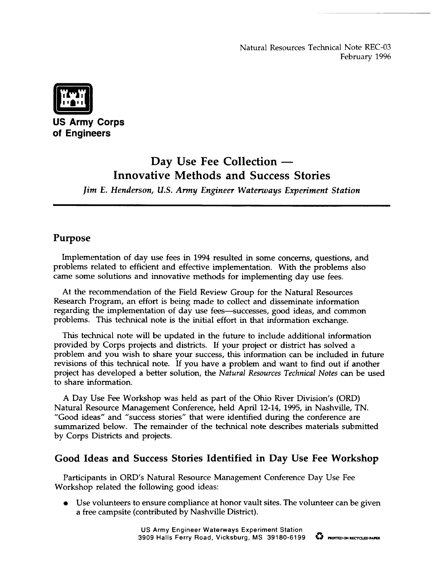Natural Resources Technical Note REC-03 February 1996



**US Army Corps of Engineers -**

# **Day Use Fee Collection — Innovative Methods and Success Stories**

}im *E. Henderson, U.S. Army Enp"neer Waterways Experiment Station*

### **Purpose**

Implementation of day use fees in 1994 resulted in some concerns, questions, and problems related to efficient and effective implementation. With the problems also came some solutions and innovative methods for implementing day use fees.

At the recommendation of the Field Review Group for the Natural Resources Research Program, an effort is being made to collect and disseminate information regarding the implementation of day use fees-successes, good ideas, and common problems. This technical note is the initial effort in that information exchange.

This technical note will be updated in the future to include additional information provided by Corps projects and districts. If your project or district has solved a problem and you wish to share your success, this information can be included in future revisions of this technical note. If you have a problem and want to find out if another project has developed a better solution, the *Natural Resources Technical Notes* can be used to share information.

A Day Use Fee Workshop was held as part of the Ohio River Division's (ORD) Natural Resource Management Conference, held April 12-14, 1995, in Nashville, TN. "Good ideas" and "success stones" that were identified during the conference are summarized below. The remainder of the technical note describes materials submitted by Corps Districts and projects.

# **Good Ideas and Success Stories Identified in Day Use Fee Workshop**

Participants in ORD'S Natural Resource Management Conference Day Use Fee Workshop related the following good ideas:

Use volunteers to ensure compliance at honor vault sites. The volunteer can be given a free campsite (contributed by Nashville District).

> **US Army Engineer Waterways Experiment Station 3909 Halls Ferry Road, Vicksburg, MS 39180-6199 t% —ONmaXDPm**

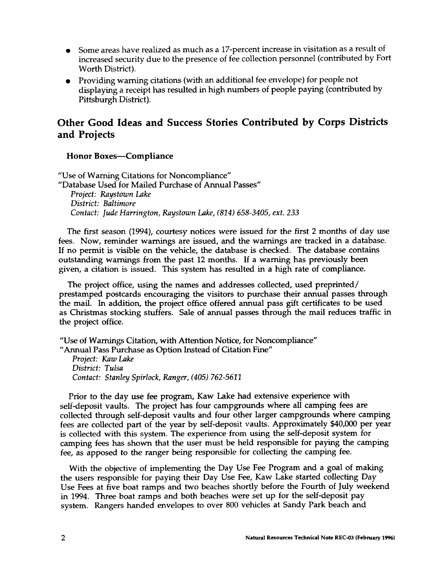- Some areas have realized as much as a 17-percent increase in visitation as a result of increased security due to the presence of fee collection personnel (contributed by Fort Worth District).
- Providing warning citations (with an additional fee envelope) for people not displaying a receipt has resulted in high numbers of people paying (contributed by Pittsburgh District).

## **Other Good Ideas and Success Stories Contributed by Corps Districts and Projects**

#### **Honor Boxes-Compliance**

"Use of Warning Citations for Noncompliance" "Database Used for Mailed Purchase of Annual Passes" *Project: Raystown Lake District: Baltimore Contact: Jude Harrz"ngton, Raystown Lake, (814) 658-3405, ext. 233*

The first season (1994), courtesy notices were issued for the first 2 months of day use fees. Now, reminder warnings are issued, and the warnings are tracked in a database. If no permit is visible on the vehicle, the database is checked. The database contains outstanding warnings from the past 12 months. If a warning has previously been given, a citation is issued. This system has resulted in a high rate of compliance.

The project office, using the names and addresses collected, used preprinted/ prestamped postcards encouraging the visitors to purchase their annual passes through the mail. In addition, the project office offered annual pass gift certificates to be used as Christmas stocking stuffers. Sale of annual passes through the mail reduces traffic in the project office.

"Use of Warnings Citation, with Attention Notice, for Noncompliance" "Annual Pass Purchase as Option Instead of Citation Fine"

*Project: Kaw Lake* District: *TuLsa Contact: Stanley Spirlock, Ranger, (405)* 762-5611

Prior to the day use fee program, Kaw Lake had extensive experience with self-deposit vaults. The project has four campgrounds where all camping fees are collected through self-deposit vaults and four other larger campgrounds where camping fees are collected part of the year by self-deposit vaults. Approximately \$40,000 per year is collected with this system. The experience from using the self-deposit system for camping fees has shown that the user must be held responsible for paying the camping fee, as apposed to the ranger being responsible for collecting the camping fee.

With the objective of implementing the Day Use Fee Program and a goal of making the users responsible for paying their Day Use Fee, Kaw Lake started collecting Day Use Fees at five boat ramps and two beaches shortly before the Fourth of July weekend in 1994. Three boat ramps and both beaches were set up for the self-deposit pay system. Rangers handed envelopes to over 800 vehicles at Sandy Park beach and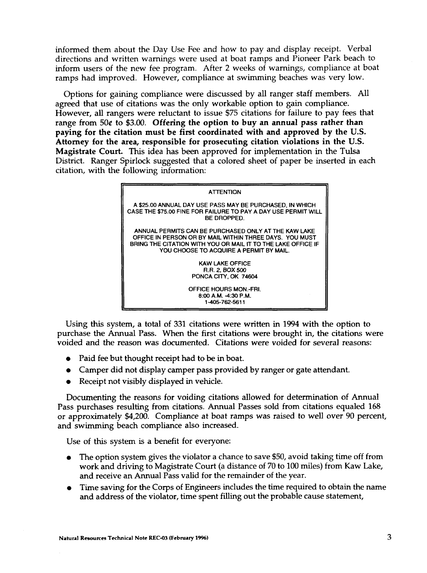informed them about the Day Use Fee and how to pay and display receipt. Verbal directions and written warnings were used at boat ramps and Pioneer Park beach to inform users of the new fee program. After 2 weeks of warnings, compliance at boat ramps had improved. However, compliance at swimming beaches was very low.

Options for gaining compliance were discussed by all ranger staff members. All agreed that use of citations was the only workable option to gain compliance. However, all rangers were reluctant to issue \$75 citations for failure to pay fees that range from 50t to \$3.00. **Offering the option to buy an annual pass rather than paying for the citation must be first coordinated with and approved by the U.S. Attorney for the area, responsible for prosecuting citation violations in the U.S. Magistrate Court. This idea** has been approved for implementation in the Tulsa District. Ranger Spirlock suggested that a colored sheet of paper be inserted in each citation, with the following information:



Using this system, a total of 331 citations were written in 1994 with the option to purchase the Annual Pass. When the first citations were brought in, the citations were voided and the reason was documented. Citations were voided for several reasons:

- Paid fee but thought receipt had to be in boat.
- Camper did not display camper pass provided by ranger or gate attendant.
- Receipt not visibly displayed in vehicle.

Documenting the reasons for voiding citations allowed for determination of Annual Pass purchases resulting from citations. Annual Passes sold from citations equaled 168 or approximately \$4,200. Compliance at boat ramps was raised to well over 90 percent, and swimming beach compliance also increased.

Use of this system is a benefit for everyone:

- The option system gives the violator a chance to save \$50, avoid taking time off from work and driving to Magistrate Court (a distance of 70 to 100 miles) from Kaw Lake, and receive an Annual Pass valid for the remainder of the year.
- Time saving for the Corps of Engineers includes the time required to obtain the name and address of the violator, time spent filling out the probable cause statement,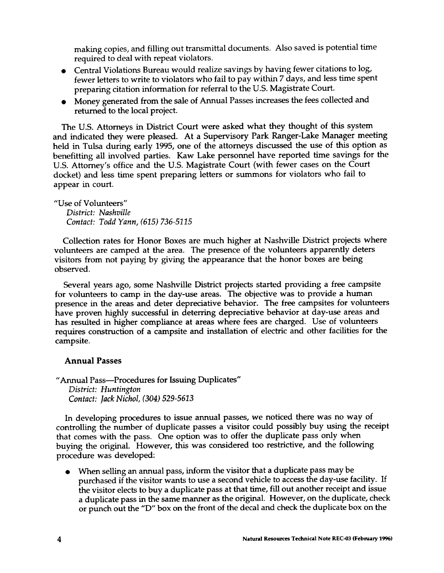making copies, and filling out transmittal documents. Also saved is potential time required to deal with repeat violators.

- Central Violations Bureau would realize savings by having fewer citations to log, fewer letters to write to violators who fail to pay within 7 days, and less time spent preparing citation information for referral to the U.S. Magistrate Court.
- Money generated from the sale of Annual Passes increases the fees collected and returned to the local project.

The U.S. Attorneys in District Court were asked what they thought of this system and indicated they were pleased. At a Supervisory Park Ranger-Lake Manager meeting held in Tulsa during early 1995, one of the attorneys discussed the use of this option as benefiting all involved parties. Kaw Lake personnel have reported time savings for the U.S. Attorney's office and the U.S. Magistrate Court (with fewer cases on the Court docket) and less time spent preparing letters or summons for violators who fail to appear in court.

"Use of Volunteers" *District: Nashville Contact: Todd Yann, (615) 736-5115*

Collection rates for Honor Boxes are much higher at Nashville District projects where volunteers are camped at the area. The presence of the volunteers apparently deters visitors from not paying by giving the appearance that the honor boxes are being observed.

Several years ago, some Nashville District projects started providing a free campsite for volunteers to camp in the day-use areas. The objective was to provide a human presence in the areas and deter depreciative behavior. The free campsites for volunteers have proven highly successful in deterring depreciative behavior at day-use areas and has resulted in higher compliance at areas where fees are charged. Use of volunteers requires construction of a campsite and installation of electric and other facilities for the campsite.

#### **Annual Passes**

"Annual Pass—Procedures for Issuing Duplicates" *District: Huntington Contact: Jack Nichol, (304) 529-5613*

In developing procedures to issue annual passes, we noticed there was no way of controlling the number of duplicate passes a visitor could possibly buy using the receipt that comes with the pass. One option was to offer the duplicate pass only when buying the original. However, this was considered too restrictive, and the following procedure was developed:

When selling an annual pass, inform the visitor that a duplicate pass may be purchased if the visitor wants to use a second vehicle to access the day-use facility. If the visitor elects to buy a duplicate pass at that time, fill out another receipt and issue a duplicate pass in the same manner as the original. However, on the duplicate, check or punch out the "D" box on the front of the decal and check the duplicate box on the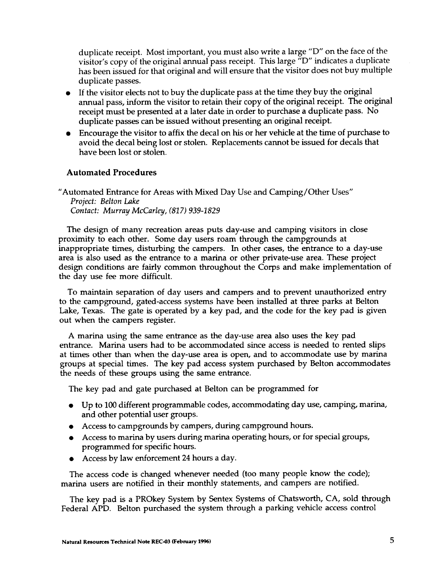duplicate receipt. Most important, you must also write a large "D" on the face of the visitor's copy of the original annual pass receipt. This large "D" indicates a duplicate has been issued for that original and will ensure that the visitor does not buy multiple duplicate passes.

- If the visitor elects not to buy the duplicate pass at the time they buy the original annual pass, inform the visitor to retain their copy of the original receipt. The original receipt must be presented at a later date in order to purchase a duplicate pass. No duplicate passes can be issued without presenting an original receipt.
- Encourage the visitor to affix the decal on his or her vehicle at the time of purchase to avoid the decal being lost or stolen. Replacements cannot be issued for decals that have been lost or stolen.

#### **Automated Procedures**

"Automated Entrance for Areas with Mixed Day Use and Camping/Other Uses" *Project: Belton Luke Contact: Murray McCarley, (817) 939-1829*

The design of many recreation areas puts day-use and camping visitors in close proximity to each other. Some day users roam through the campgrounds at inappropriate times, disturbing the campers. In other cases, the entrance to a day-use area is also used as the entrance to a marina or other private-use area. These project design conditions are fairly common throughout the Corps and make implementation of the day use fee more difficult.

To maintain separation of day users and campers and to prevent unauthorized entry to the campground, gated-access systems have been installed at three parks at Belton Lake, Texas. The gate is operated by a key pad, and the code for the key pad is given out when the campers register.

A marina using the same entrance as the day-use area also uses the key pad entrance. Marina users had to be accommodated since access is needed to rented slips at times other than when the day-use area is open, and to accommodate use by marina groups at special times. The key pad access system purchased by Belton accommodates the needs of these groups using the same entrance.

The key pad and gate purchased at Belton can be programmed for

- Up to 100 different programmable codes, accommodating day use, camping, marina, and other potential user groups.
- Access to campgrounds by campers, during campground hours.
- Access to marina by users during marina operating hours, or for special groups, programmed for specific hours.
- Access by law enforcement 24 hours a day.

The access code is changed whenever needed (too many people know the code); marina users are notified in their monthly statements, and campers are notified.

The key pad is a PROkey System by Sentex Systems of Chatsworth, CA, sold through Federal APD. Belton purchased the system through a parking vehicle access control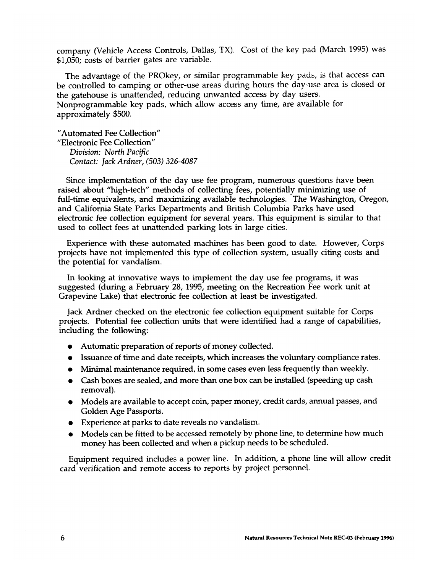company (Vehicle Access Controls, Dallas, TX). Cost of the key pad (March 1995) was \$1,050; costs of barrier gates are variable.

The advantage of the PROkey, or similar programmable key pads, is that access can be controlled to camping or other-use areas during hours the day-use area is closed or the gatehouse is unattended, reducing unwanted access by day *users.* Nonprogrammable key pads, which allow access any time, are available for approximately \$500.

"Automated Fee Collection" "Electronic Fee Collection" *Division: North Paczfic Contact: Jack Ardner, (503) 326-4087*

Since implementation of the day use fee program, numerous questions have been raised about "high-tech" methods of collecting fees, potentially minimizing use of full-time equivalents, and maximizing available technologies. The Washington, Oregon, and California State Parks Departments and British Columbia Parks have used electronic fee collection equipment for several years. This equipment is similar to that used to collect fees at unattended parking lots in large cities.

Experience with these automated machines has been good to date. However, Corps projects have not implemented this type of collection system, usually citing costs and the potential for vandalism.

In looking at innovative ways to implement the day use fee programs, it was suggested (during a February 28, 1995, meeting on the Recreation Fee work unit at Grapevine Lake) that electronic fee collection at least be investigated.

Jack Ardner checked on the electronic fee collection equipment suitable for Corps projects. Potential fee collection units that were identified had a range of capabilities, including the following

- Automatic preparation of reports of money collected.
- Issuance of time and date receipts, which increases the voluntary compliance rates.
- Minimal maintenance required, in some cases even less frequently than weekly.
- Cash boxes are sealed, and more than one box can be installed (speeding up cash removal).
- Models are available to accept coin, paper money, credit cards, annual passes, and Golden Age Passports.
- Experience at parks to date reveals no vandalism.
- Models can be fitted to be accessed remotely by phone line, to determine how much money has been collected and when a pickup needs to be scheduled.

Equipment required includes a power line. In addition, a phone line will allow credit card verification and remote access to reports by project personnel.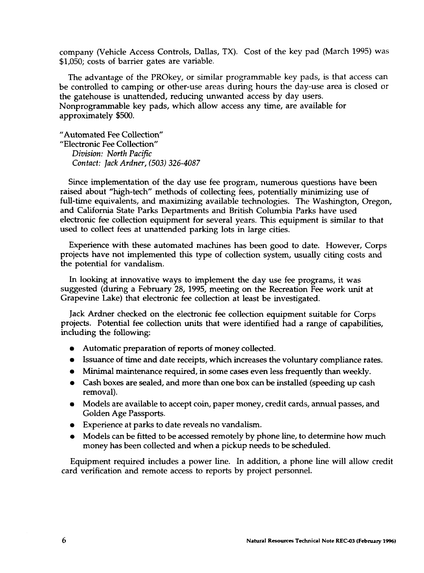company (Vehicle Access Controls, Dallas, TX). Cost of the key pad (March 1995) was \$1,050; costs of barrier gates are variable.

The advantage of the PROkey, or similar programmable key pads, is that access can be controlled to camping or other-use areas during hours the day-use area is closed or the gatehouse is unattended, reducing unwanted access by day users. Nonprogrammable key pads, which allow access any time, are available for approximately \$500.

"Automated Fee Collection" "Electronic Fee Collection" *Division: North Pacific Contact: Jack Ardner, (503) 326-4087*

Since implementation of the day use fee program, numerous questions have been raised about "high-tech" methods of collecting fees, potentially minimizing use of full-time equivalents, and maximizing available technologies. The Washington, Oregon, and California State Parks Departments and British Columbia Parks have used electronic fee collection equipment for several years. This equipment is similar to that used to collect fees at unattended parking lots in large cities.

Experience with these automated machines has been good to date. However, Corps projects have not implemented this type of collection system, usually citing costs and the potential for vandalism.

In looking at innovative ways to implement the day use fee programs, it was suggested (during a February 28, 1995, meeting on the Recreation Fee work unit at Grapevine Lake) that electronic fee collection at least be investigated.

Jack Ardner checked on the electronic fee collection equipment suitable for Corps projects. Potential fee collection units that were identified had a range of capabilities, including the following

- Automatic preparation of reports of money collected.
- Issuance of time and date receipts, which increases the voluntary compliance rates.
- Minimal maintenance required, in some cases even less frequently than weekly.
- Cash boxes are sealed, and more than one box can be installed (speeding up cash removal).
- Models are available to accept coin, paper money, credit cards, annual passes, and Golden Age Passports.
- Experience at parks to date reveals no vandalism.
- Models can be fitted to be accessed remotely by phone line, to determine how much money has been collected and when a pickup needs to be scheduled.

Equipment required includes a power line. In addition, a phone line will allow credit card verification and remote access to reports by project personnel.